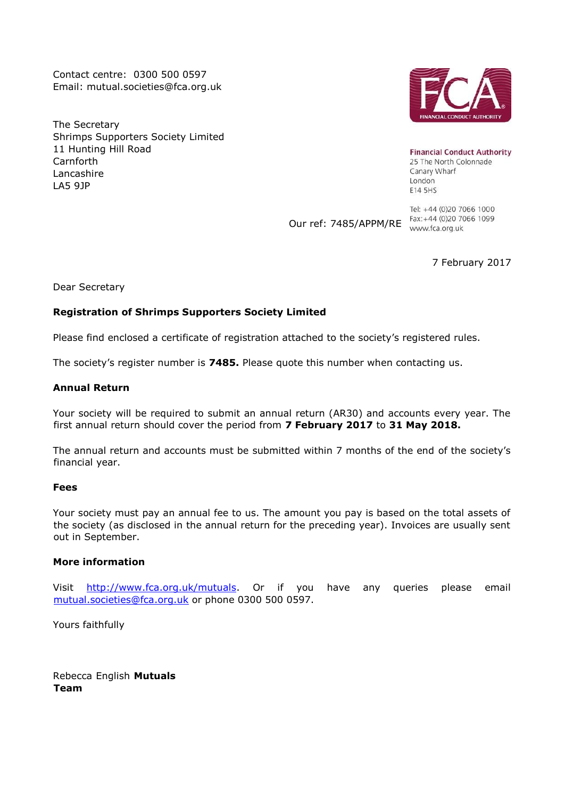Contact centre: 0300 500 0597 Email: mutual.societies@fca.org.uk

The Secretary Shrimps Supporters Society Limited 11 Hunting Hill Road Carnforth Lancashire LA5 9JP



**Financial Conduct Authority** 25 The North Colonnade Canary Wharf London E14 5HS

Our ref: 7485/APPM/RE rax: +44 (v/2v / Contract)

Tel: +44 (0)20 7066 1000 Fax: +44 (0)20 7066 1099

7 February 2017

Dear Secretary

## **Registration of Shrimps Supporters Society Limited**

Please find enclosed a certificate of registration attached to the society's registered rules.

The society's register number is **7485.** Please quote this number when contacting us.

### **Annual Return**

Your society will be required to submit an annual return (AR30) and accounts every year. The first annual return should cover the period from **7 February 2017** to **31 May 2018.**

The annual return and accounts must be submitted within 7 months of the end of the society's financial year.

### **Fees**

Your society must pay an annual fee to us. The amount you pay is based on the total assets of the society (as disclosed in the annual return for the preceding year). Invoices are usually sent out in September.

### **More information**

Visit http://www.fca.org.uk/mutuals. Or if you have any queries please email mutual.societies@fca.org.uk or phone 0300 500 0597.

Yours faithfully

Rebecca English **Mutuals Team**